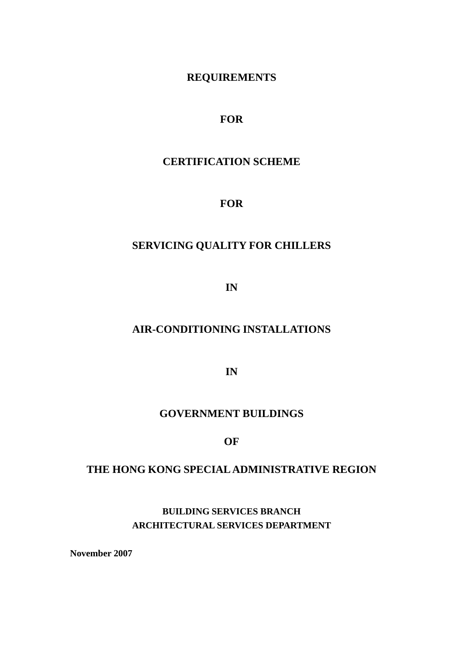### **REQUIREMENTS**

### **FOR**

# **CERTIFICATION SCHEME**

### **FOR**

# **SERVICING QUALITY FOR CHILLERS**

**IN** 

## **AIR-CONDITIONING INSTALLATIONS**

**IN** 

## **GOVERNMENT BUILDINGS**

#### **OF**

## **THE HONG KONG SPECIAL ADMINISTRATIVE REGION**

**BUILDING SERVICES BRANCH ARCHITECTURAL SERVICES DEPARTMENT** 

**November 2007**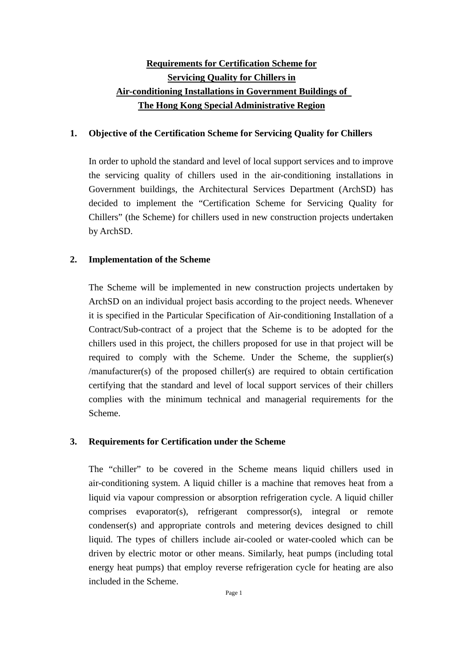## <sup>U</sup>**Requirements for Certification Scheme for Servicing Quality for Chillers in** <sup>U</sup>**Air-conditioning Installations in Government Buildings of**  <sup>U</sup>**The Hong Kong Special Administrative Region**

#### **1. Objective of the Certification Scheme for Servicing Quality for Chillers**

In order to uphold the standard and level of local support services and to improve the servicing quality of chillers used in the air-conditioning installations in Government buildings, the Architectural Services Department (ArchSD) has decided to implement the "Certification Scheme for Servicing Quality for Chillers" (the Scheme) for chillers used in new construction projects undertaken by ArchSD.

#### **2. Implementation of the Scheme**

The Scheme will be implemented in new construction projects undertaken by ArchSD on an individual project basis according to the project needs. Whenever it is specified in the Particular Specification of Air-conditioning Installation of a Contract/Sub-contract of a project that the Scheme is to be adopted for the chillers used in this project, the chillers proposed for use in that project will be required to comply with the Scheme. Under the Scheme, the supplier(s) /manufacturer(s) of the proposed chiller(s) are required to obtain certification certifying that the standard and level of local support services of their chillers complies with the minimum technical and managerial requirements for the Scheme.

#### **3. Requirements for Certification under the Scheme**

The "chiller" to be covered in the Scheme means liquid chillers used in air-conditioning system. A liquid chiller is a machine that removes heat from a liquid via vapour compression or absorption refrigeration cycle. A liquid chiller comprises evaporator(s), refrigerant compressor(s), integral or remote condenser(s) and appropriate controls and metering devices designed to chill liquid. The types of chillers include air-cooled or water-cooled which can be driven by electric motor or other means. Similarly, heat pumps (including total energy heat pumps) that employ reverse refrigeration cycle for heating are also included in the Scheme.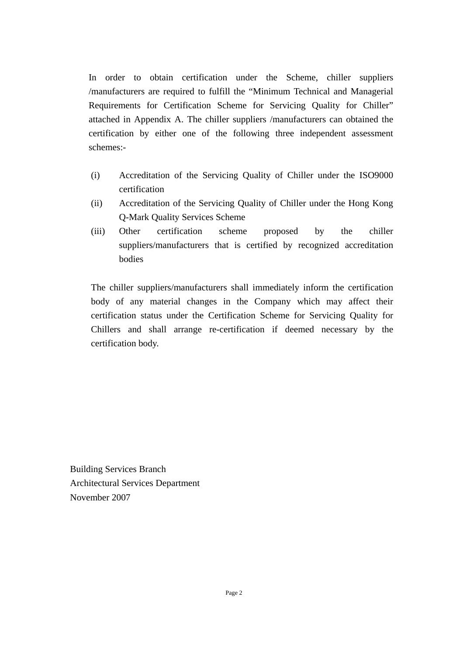In order to obtain certification under the Scheme, chiller suppliers /manufacturers are required to fulfill the "Minimum Technical and Managerial Requirements for Certification Scheme for Servicing Quality for Chiller" attached in Appendix A. The chiller suppliers /manufacturers can obtained the certification by either one of the following three independent assessment schemes:-

- (i) Accreditation of the Servicing Quality of Chiller under the ISO9000 certification
- (ii) Accreditation of the Servicing Quality of Chiller under the Hong Kong Q-Mark Quality Services Scheme
- (iii) Other certification scheme proposed by the chiller suppliers/manufacturers that is certified by recognized accreditation bodies

The chiller suppliers/manufacturers shall immediately inform the certification body of any material changes in the Company which may affect their certification status under the Certification Scheme for Servicing Quality for Chillers and shall arrange re-certification if deemed necessary by the certification body.

Building Services Branch Architectural Services Department November 2007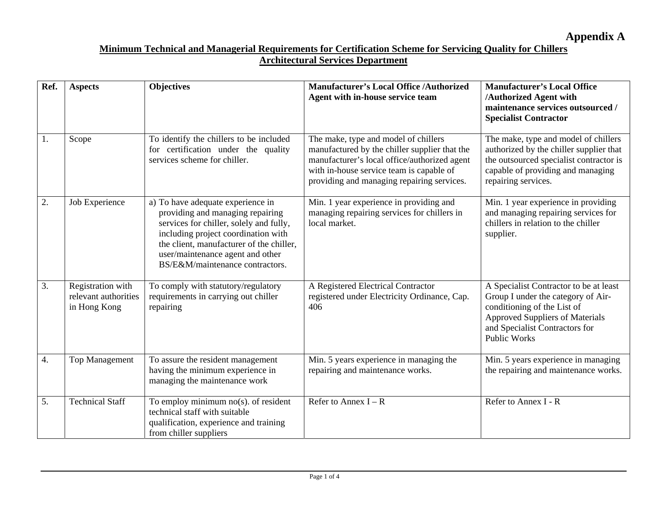**Appendix A** 

| Ref.             | <b>Aspects</b>                                            | <b>Objectives</b>                                                                                                                                                                                                                                                          | <b>Manufacturer's Local Office /Authorized</b><br>Agent with in-house service team                                                                                                                                              | <b>Manufacturer's Local Office</b><br>/Authorized Agent with<br>maintenance services outsourced /<br><b>Specialist Contractor</b>                                                                              |
|------------------|-----------------------------------------------------------|----------------------------------------------------------------------------------------------------------------------------------------------------------------------------------------------------------------------------------------------------------------------------|---------------------------------------------------------------------------------------------------------------------------------------------------------------------------------------------------------------------------------|----------------------------------------------------------------------------------------------------------------------------------------------------------------------------------------------------------------|
| 1.               | Scope                                                     | To identify the chillers to be included<br>for certification under the quality<br>services scheme for chiller.                                                                                                                                                             | The make, type and model of chillers<br>manufactured by the chiller supplier that the<br>manufacturer's local office/authorized agent<br>with in-house service team is capable of<br>providing and managing repairing services. | The make, type and model of chillers<br>authorized by the chiller supplier that<br>the outsourced specialist contractor is<br>capable of providing and managing<br>repairing services.                         |
| $\overline{2}$ . | Job Experience                                            | a) To have adequate experience in<br>providing and managing repairing<br>services for chiller, solely and fully,<br>including project coordination with<br>the client, manufacturer of the chiller,<br>user/maintenance agent and other<br>BS/E&M/maintenance contractors. | Min. 1 year experience in providing and<br>managing repairing services for chillers in<br>local market.                                                                                                                         | Min. 1 year experience in providing<br>and managing repairing services for<br>chillers in relation to the chiller<br>supplier.                                                                                 |
| 3.               | Registration with<br>relevant authorities<br>in Hong Kong | To comply with statutory/regulatory<br>requirements in carrying out chiller<br>repairing                                                                                                                                                                                   | A Registered Electrical Contractor<br>registered under Electricity Ordinance, Cap.<br>406                                                                                                                                       | A Specialist Contractor to be at least<br>Group I under the category of Air-<br>conditioning of the List of<br><b>Approved Suppliers of Materials</b><br>and Specialist Contractors for<br><b>Public Works</b> |
| 4.               | <b>Top Management</b>                                     | To assure the resident management<br>having the minimum experience in<br>managing the maintenance work                                                                                                                                                                     | Min. 5 years experience in managing the<br>repairing and maintenance works.                                                                                                                                                     | Min. 5 years experience in managing<br>the repairing and maintenance works.                                                                                                                                    |
| 5.               | <b>Technical Staff</b>                                    | To employ minimum $no(s)$ . of resident<br>technical staff with suitable<br>qualification, experience and training<br>from chiller suppliers                                                                                                                               | Refer to Annex $I - R$                                                                                                                                                                                                          | Refer to Annex I - R                                                                                                                                                                                           |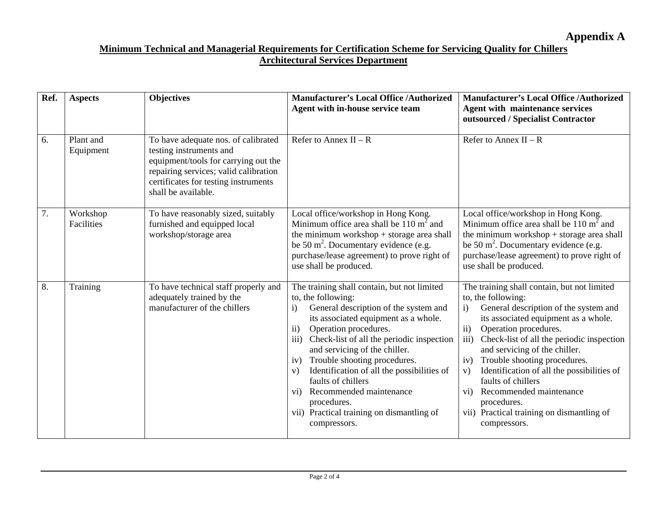| Ref. | <b>Aspects</b>         | <b>Objectives</b>                                                                                                                                                                                              | <b>Manufacturer's Local Office /Authorized</b><br>Agent with in-house service team                                                                                                                                                                                                                                                                                                                                                                                                                                                                       | <b>Manufacturer's Local Office /Authorized</b><br><b>Agent with maintenance services</b><br>outsourced / Specialist Contractor                                                                                                                                                                                                                                                                                                                                                                                                                |
|------|------------------------|----------------------------------------------------------------------------------------------------------------------------------------------------------------------------------------------------------------|----------------------------------------------------------------------------------------------------------------------------------------------------------------------------------------------------------------------------------------------------------------------------------------------------------------------------------------------------------------------------------------------------------------------------------------------------------------------------------------------------------------------------------------------------------|-----------------------------------------------------------------------------------------------------------------------------------------------------------------------------------------------------------------------------------------------------------------------------------------------------------------------------------------------------------------------------------------------------------------------------------------------------------------------------------------------------------------------------------------------|
| 6.   | Plant and<br>Equipment | To have adequate nos. of calibrated<br>testing instruments and<br>equipment/tools for carrying out the<br>repairing services; valid calibration<br>certificates for testing instruments<br>shall be available. | Refer to Annex $II - R$                                                                                                                                                                                                                                                                                                                                                                                                                                                                                                                                  | Refer to Annex $II - R$                                                                                                                                                                                                                                                                                                                                                                                                                                                                                                                       |
| 7.   | Workshop<br>Facilities | To have reasonably sized, suitably<br>furnished and equipped local<br>workshop/storage area                                                                                                                    | Local office/workshop in Hong Kong.<br>Minimum office area shall be $110 \text{ m}^2$ and<br>the minimum workshop $+$ storage area shall<br>be 50 $m^2$ . Documentary evidence (e.g.<br>purchase/lease agreement) to prove right of<br>use shall be produced.                                                                                                                                                                                                                                                                                            | Local office/workshop in Hong Kong.<br>Minimum office area shall be $110 \text{ m}^2$ and<br>the minimum workshop $+$ storage area shall<br>be 50 $m^2$ . Documentary evidence (e.g.<br>purchase/lease agreement) to prove right of<br>use shall be produced.                                                                                                                                                                                                                                                                                 |
| 8.   | Training               | To have technical staff properly and<br>adequately trained by the<br>manufacturer of the chillers                                                                                                              | The training shall contain, but not limited<br>to, the following:<br>General description of the system and<br>$\bf{1)}$<br>its associated equipment as a whole.<br>$\mathbf{ii}$<br>Operation procedures.<br>Check-list of all the periodic inspection<br>$\overline{111}$ )<br>and servicing of the chiller.<br>Trouble shooting procedures.<br>iv)<br>Identification of all the possibilities of<br>V)<br>faults of chillers<br>Recommended maintenance<br>$\overline{vi}$<br>procedures.<br>vii) Practical training on dismantling of<br>compressors. | The training shall contain, but not limited<br>to, the following:<br>General description of the system and<br>$\mathbf{i}$<br>its associated equipment as a whole.<br>Operation procedures.<br>$\mathbf{ii}$<br>iii)<br>Check-list of all the periodic inspection<br>and servicing of the chiller.<br>Trouble shooting procedures.<br>iv)<br>Identification of all the possibilities of<br>V)<br>faults of chillers<br>Recommended maintenance<br>$\overline{vi}$<br>procedures.<br>vii) Practical training on dismantling of<br>compressors. |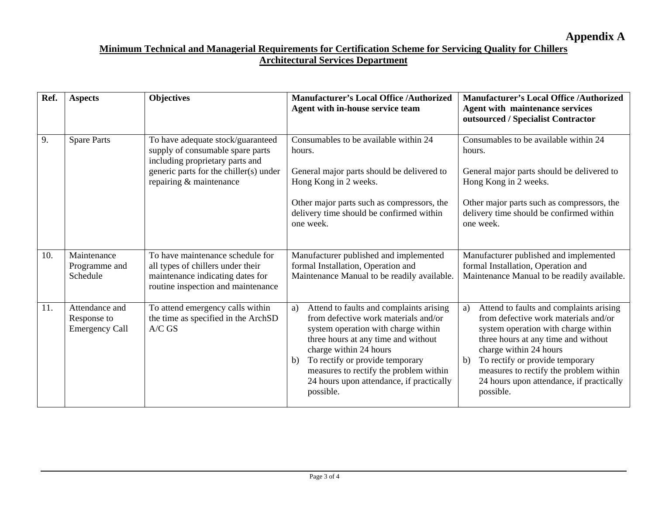| Ref. | <b>Aspects</b>                                         | <b>Objectives</b>                                                                                                                                                             | <b>Manufacturer's Local Office /Authorized</b><br>Agent with in-house service team                                                                                                                                                                                                                                                        | <b>Manufacturer's Local Office /Authorized</b><br><b>Agent with maintenance services</b><br>outsourced / Specialist Contractor                                                                                                                                                                                                            |
|------|--------------------------------------------------------|-------------------------------------------------------------------------------------------------------------------------------------------------------------------------------|-------------------------------------------------------------------------------------------------------------------------------------------------------------------------------------------------------------------------------------------------------------------------------------------------------------------------------------------|-------------------------------------------------------------------------------------------------------------------------------------------------------------------------------------------------------------------------------------------------------------------------------------------------------------------------------------------|
| 9.   | <b>Spare Parts</b>                                     | To have adequate stock/guaranteed<br>supply of consumable spare parts<br>including proprietary parts and<br>generic parts for the chiller(s) under<br>repairing & maintenance | Consumables to be available within 24<br>hours.<br>General major parts should be delivered to<br>Hong Kong in 2 weeks.<br>Other major parts such as compressors, the<br>delivery time should be confirmed within<br>one week.                                                                                                             | Consumables to be available within 24<br>hours.<br>General major parts should be delivered to<br>Hong Kong in 2 weeks.<br>Other major parts such as compressors, the<br>delivery time should be confirmed within<br>one week.                                                                                                             |
| 10.  | Maintenance<br>Programme and<br>Schedule               | To have maintenance schedule for<br>all types of chillers under their<br>maintenance indicating dates for<br>routine inspection and maintenance                               | Manufacturer published and implemented<br>formal Installation, Operation and<br>Maintenance Manual to be readily available.                                                                                                                                                                                                               | Manufacturer published and implemented<br>formal Installation, Operation and<br>Maintenance Manual to be readily available.                                                                                                                                                                                                               |
| 11.  | Attendance and<br>Response to<br><b>Emergency Call</b> | To attend emergency calls within<br>the time as specified in the ArchSD<br>$A/C$ GS                                                                                           | Attend to faults and complaints arising<br>a)<br>from defective work materials and/or<br>system operation with charge within<br>three hours at any time and without<br>charge within 24 hours<br>To rectify or provide temporary<br>b)<br>measures to rectify the problem within<br>24 hours upon attendance, if practically<br>possible. | Attend to faults and complaints arising<br>a)<br>from defective work materials and/or<br>system operation with charge within<br>three hours at any time and without<br>charge within 24 hours<br>To rectify or provide temporary<br>b)<br>measures to rectify the problem within<br>24 hours upon attendance, if practically<br>possible. |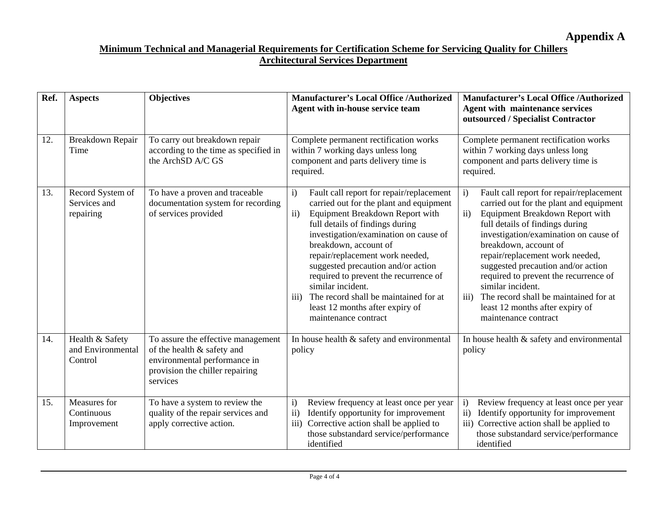| Ref. | <b>Aspects</b>                                  | <b>Objectives</b>                                                                                                                               | <b>Manufacturer's Local Office /Authorized</b><br>Agent with in-house service team                                                                                                                                                                                                                                                                                                                                                                                                                                | <b>Manufacturer's Local Office /Authorized</b><br><b>Agent with maintenance services</b><br>outsourced / Specialist Contractor                                                                                                                                                                                                                                                                                                                                                                                  |
|------|-------------------------------------------------|-------------------------------------------------------------------------------------------------------------------------------------------------|-------------------------------------------------------------------------------------------------------------------------------------------------------------------------------------------------------------------------------------------------------------------------------------------------------------------------------------------------------------------------------------------------------------------------------------------------------------------------------------------------------------------|-----------------------------------------------------------------------------------------------------------------------------------------------------------------------------------------------------------------------------------------------------------------------------------------------------------------------------------------------------------------------------------------------------------------------------------------------------------------------------------------------------------------|
| 12.  | Breakdown Repair<br>Time                        | To carry out breakdown repair<br>according to the time as specified in<br>the ArchSD A/C GS                                                     | Complete permanent rectification works<br>within 7 working days unless long<br>component and parts delivery time is<br>required.                                                                                                                                                                                                                                                                                                                                                                                  | Complete permanent rectification works<br>within 7 working days unless long<br>component and parts delivery time is<br>required.                                                                                                                                                                                                                                                                                                                                                                                |
| 13.  | Record System of<br>Services and<br>repairing   | To have a proven and traceable<br>documentation system for recording<br>of services provided                                                    | $\mathbf{i}$<br>Fault call report for repair/replacement<br>carried out for the plant and equipment<br>ii)<br>Equipment Breakdown Report with<br>full details of findings during<br>investigation/examination on cause of<br>breakdown, account of<br>repair/replacement work needed,<br>suggested precaution and/or action<br>required to prevent the recurrence of<br>similar incident.<br>The record shall be maintained for at<br>$\overline{111}$<br>least 12 months after expiry of<br>maintenance contract | $\mathbf{i}$<br>Fault call report for repair/replacement<br>carried out for the plant and equipment<br>$\mathbf{ii}$<br>Equipment Breakdown Report with<br>full details of findings during<br>investigation/examination on cause of<br>breakdown, account of<br>repair/replacement work needed,<br>suggested precaution and/or action<br>required to prevent the recurrence of<br>similar incident.<br>The record shall be maintained for at<br>iii)<br>least 12 months after expiry of<br>maintenance contract |
| 14.  | Health & Safety<br>and Environmental<br>Control | To assure the effective management<br>of the health & safety and<br>environmental performance in<br>provision the chiller repairing<br>services | In house health & safety and environmental<br>policy                                                                                                                                                                                                                                                                                                                                                                                                                                                              | In house health & safety and environmental<br>policy                                                                                                                                                                                                                                                                                                                                                                                                                                                            |
| 15.  | Measures for<br>Continuous<br>Improvement       | To have a system to review the<br>quality of the repair services and<br>apply corrective action.                                                | $\mathbf{i}$<br>Review frequency at least once per year<br>$\mathbf{ii}$<br>Identify opportunity for improvement<br>iii)<br>Corrective action shall be applied to<br>those substandard service/performance<br>identified                                                                                                                                                                                                                                                                                          | Review frequency at least once per year<br>$\mathbf{i}$<br>ii)<br>Identify opportunity for improvement<br>iii) Corrective action shall be applied to<br>those substandard service/performance<br>identified                                                                                                                                                                                                                                                                                                     |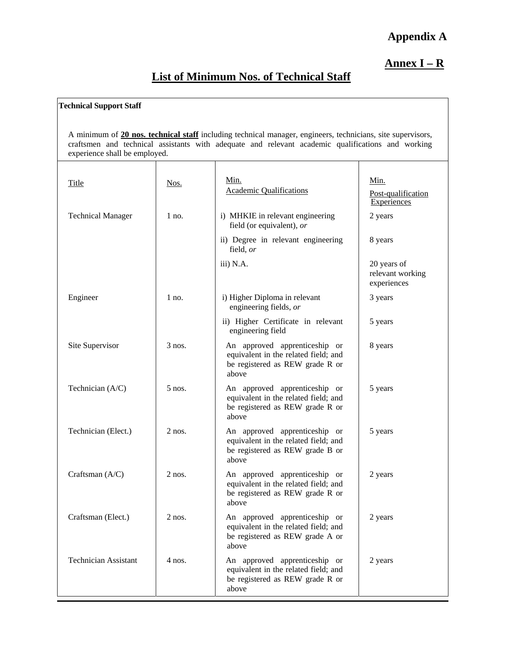## **Appendix A**

## **Annex I – R**

# **List of Minimum Nos. of Technical Staff**

#### **Technical Support Staff**

A minimum of **20 nos. technical staff** including technical manager, engineers, technicians, site supervisors, craftsmen and technical assistants with adequate and relevant academic qualifications and working experience shall be employed.

| Title                       | Nos.     | Min.<br><b>Academic Qualifications</b>                                                                            | Min.<br>Post-qualification<br>Experiences      |
|-----------------------------|----------|-------------------------------------------------------------------------------------------------------------------|------------------------------------------------|
| <b>Technical Manager</b>    | $1$ no.  | i) MHKIE in relevant engineering<br>field (or equivalent), or                                                     | 2 years                                        |
|                             |          | ii) Degree in relevant engineering<br>field, or                                                                   | 8 years                                        |
|                             |          | iii) N.A.                                                                                                         | 20 years of<br>relevant working<br>experiences |
| Engineer                    | $1$ no.  | i) Higher Diploma in relevant<br>engineering fields, or                                                           | 3 years                                        |
|                             |          | ii) Higher Certificate in relevant<br>engineering field                                                           | 5 years                                        |
| Site Supervisor             | $3$ nos. | An approved apprenticeship or<br>equivalent in the related field; and<br>be registered as REW grade R or<br>above | 8 years                                        |
| Technician (A/C)            | $5$ nos. | An approved apprenticeship or<br>equivalent in the related field; and<br>be registered as REW grade R or<br>above | 5 years                                        |
| Technician (Elect.)         | $2$ nos. | An approved apprenticeship or<br>equivalent in the related field; and<br>be registered as REW grade B or<br>above | 5 years                                        |
| Craftsman (A/C)             | $2$ nos. | An approved apprenticeship or<br>equivalent in the related field; and<br>be registered as REW grade R or<br>above | 2 years                                        |
| Craftsman (Elect.)          | $2$ nos. | An approved apprenticeship or<br>equivalent in the related field; and<br>be registered as REW grade A or<br>above | 2 years                                        |
| <b>Technician Assistant</b> | 4 nos.   | An approved apprenticeship or<br>equivalent in the related field; and<br>be registered as REW grade R or<br>above | 2 years                                        |